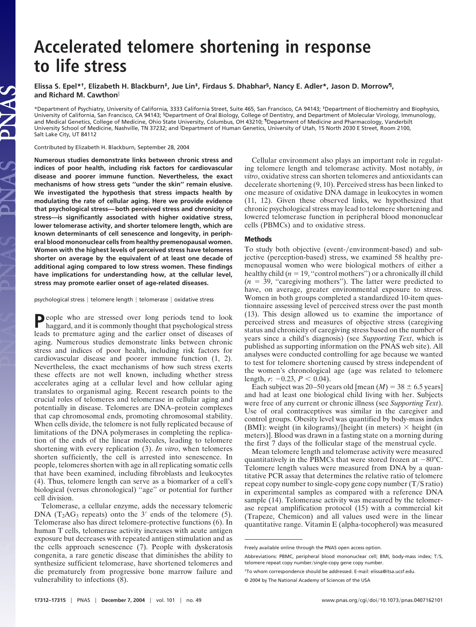# **Accelerated telomere shortening in response to life stress**

**Elissa S. Epel\*†, Elizabeth H. Blackburn‡, Jue Lin‡, Firdaus S. Dhabhar§, Nancy E. Adler\*, Jason D. Morrow¶, and Richard M. Cawthon**

\*Department of Psychiatry, University of California, 3333 California Street, Suite 465, San Francisco, CA 94143; ‡Department of Biochemistry and Biophysics, University of California, San Francisco, CA 94143; §Department of Oral Biology, College of Dentistry, and Department of Molecular Virology, Immunology, and Medical Genetics, College of Medicine, Ohio State University, Columbus, OH 43210; ¶Department of Medicine and Pharmacology, Vanderbilt University School of Medicine, Nashville, TN 37232; and Department of Human Genetics, University of Utah, 15 North 2030 E Street, Room 2100, Salt Lake City, UT 84112

## Contributed by Elizabeth H. Blackburn, September 28, 2004

**Numerous studies demonstrate links between chronic stress and indices of poor health, including risk factors for cardiovascular disease and poorer immune function. Nevertheless, the exact mechanisms of how stress gets ''under the skin'' remain elusive. We investigated the hypothesis that stress impacts health by modulating the rate of cellular aging. Here we provide evidence that psychological stress—both perceived stress and chronicity of stress—is significantly associated with higher oxidative stress, lower telomerase activity, and shorter telomere length, which are known determinants of cell senescence and longevity, in peripheral blood mononuclear cells from healthy premenopausal women. Women with the highest levels of perceived stress have telomeres shorter on average by the equivalent of at least one decade of additional aging compared to low stress women. These findings have implications for understanding how, at the cellular level, stress may promote earlier onset of age-related diseases.**

psychological stress | telomere length | telomerase | oxidative stress

**P**eople who are stressed over long periods tend to look haggard, and it is commonly thought that psychological stress leads to premature aging and the earlier onset of diseases of aging. Numerous studies demonstrate links between chronic stress and indices of poor health, including risk factors for cardiovascular disease and poorer immune function (1, 2). Nevertheless, the exact mechanisms of how such stress exerts these effects are not well known, including whether stress accelerates aging at a cellular level and how cellular aging translates to organismal aging. Recent research points to the crucial roles of telomeres and telomerase in cellular aging and potentially in disease. Telomeres are DNA–protein complexes that cap chromosomal ends, promoting chromosomal stability. When cells divide, the telomere is not fully replicated because of limitations of the DNA polymerases in completing the replication of the ends of the linear molecules, leading to telomere shortening with every replication (3). *In vitro*, when telomeres shorten sufficiently, the cell is arrested into senescence. In people, telomeres shorten with age in all replicating somatic cells that have been examined, including fibroblasts and leukocytes (4). Thus, telomere length can serve as a biomarker of a cell's biological (versus chronological) ''age'' or potential for further cell division.

Telomerase, a cellular enzyme, adds the necessary telomeric DNA ( $T_2AG_3$  repeats) onto the 3' ends of the telomere (5). Telomerase also has direct telomere-protective functions (6). In human T cells, telomerase activity increases with acute antigen exposure but decreases with repeated antigen stimulation and as the cells approach senescence (7). People with dyskeratosis congenita, a rare genetic disease that diminishes the ability to synthesize sufficient telomerase, have shortened telomeres and die prematurely from progressive bone marrow failure and vulnerability to infections (8).

Cellular environment also plays an important role in regulating telomere length and telomerase activity. Most notably, *in vitro*, oxidative stress can shorten telomeres and antioxidants can decelerate shortening (9, 10). Perceived stress has been linked to one measure of oxidative DNA damage in leukocytes in women (11, 12). Given these observed links, we hypothesized that chronic psychological stress may lead to telomere shortening and lowered telomerase function in peripheral blood mononuclear cells (PBMCs) and to oxidative stress.

#### **Methods**

To study both objective (event-/environment-based) and subjective (perception-based) stress, we examined 58 healthy premenopausal women who were biological mothers of either a healthy child  $(n = 19, "control mothers")$  or a chronically ill child  $(n = 39,$  "caregiving mothers"). The latter were predicted to have, on average, greater environmental exposure to stress. Women in both groups completed a standardized 10-item questionnaire assessing level of perceived stress over the past month (13). This design allowed us to examine the importance of perceived stress and measures of objective stress (caregiving status and chronicity of caregiving stress based on the number of years since a child's diagnosis) (see *Supporting Text*, which is published as supporting information on the PNAS web site). All analyses were conducted controlling for age because we wanted to test for telomere shortening caused by stress independent of the women's chronological age (age was related to telomere length,  $r: -0.23$ ,  $P < 0.04$ ).

Each subject was 20–50 years old [mean  $(M) = 38 \pm 6.5$  years] and had at least one biological child living with her. Subjects were free of any current or chronic illness (see *Supporting Text*). Use of oral contraceptives was similar in the caregiver and control groups. Obesity level was quantified by body-mass index (BMI): weight (in kilograms)/[height (in meters)  $\times$  height (in meters)]. Blood was drawn in a fasting state on a morning during the first 7 days of the follicular stage of the menstrual cycle.

Mean telomere length and telomerase activity were measured quantitatively in the PBMCs that were stored frozen at  $-80^{\circ}$ C. Telomere length values were measured from DNA by a quantitative PCR assay that determines the relative ratio of telomere repeat copy number to single-copy gene copy number  $(T/S \text{ ratio})$ in experimental samples as compared with a reference DNA sample (14). Telomerase activity was measured by the telomerase repeat amplification protocol (15) with a commercial kit (Trapeze, Chemicon) and all values used were in the linear quantitative range. Vitamin E (alpha-tocopherol) was measured

Freely available online through the PNAS open access option.

Abbreviations: PBMC, peripheral blood mononuclear cell; BMI, body-mass index; T/S, telomere repeat copy number/single-copy gene copy number.

<sup>†</sup>To whom correspondence should be addressed. E-mail: elissa@itsa.ucsf.edu.

<sup>© 2004</sup> by The National Academy of Sciences of the USA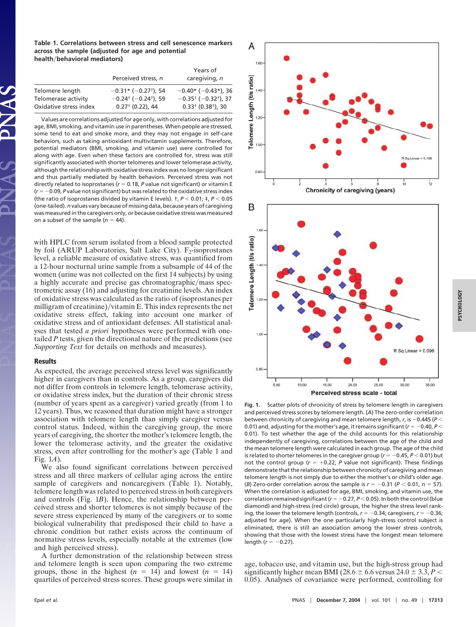**Table 1. Correlations between stress and cell senescence markers across the sample (adjusted for age and potential healthbehavioral mediators)**

|                        |                                                   | Years of                                          |
|------------------------|---------------------------------------------------|---------------------------------------------------|
|                        | Perceived stress, n                               | caregiving, n                                     |
| Telomere length        | $-0.31*$ ( $-0.27$ <sup>†</sup> ), 54             | $-0.40*$ ( $-0.43*$ ), 36                         |
| Telomerase activity    | $-0.24$ <sup>†</sup> ( $-0.24$ <sup>†</sup> ), 59 | $-0.35$ <sup>+</sup> ( $-0.32$ <sup>+</sup> ), 37 |
| Oxidative stress index | $0.27$ <sup>†</sup> (0.22), 44                    | $0.33$ <sup>†</sup> (0.38 <sup>†</sup> ), 30      |

Values are correlations adjusted for age only, with correlations adjusted for age, BMI, smoking, and vitamin use in parentheses. When people are stressed, some tend to eat and smoke more, and they may not engage in self-care behaviors, such as taking antioxidant multivitamin supplements. Therefore, potential mediators (BMI, smoking, and vitamin use) were controlled for along with age. Even when these factors are controlled for, stress was still significantly associated with shorter telomeres and lower telomerase activity, although the relationship with oxidative stress index was no longer significant and thus partially mediated by health behaviors. Perceived stress was not directly related to isoprostanes ( $r = 0.18$ ,  $P$  value not significant) or vitamin E  $(r = -0.09$ , *P* value not significant) but was related to the oxidative stress index (the ratio of isoprostanes divided by vitamin E levels).  $t, P < 0.01$ ;  $t, P < 0.05$ (one-tailed). *n* values vary because of missing data, because years of caregiving was measured in the caregivers only, or because oxidative stress was measured on a subset of the sample  $(n = 44)$ .

with HPLC from serum isolated from a blood sample protected by foil (ARUP Laboratories, Salt Lake City).  $F_2$ -isoprostanes level, a reliable measure of oxidative stress, was quantified from a 12-hour nocturnal urine sample from a subsample of 44 of the women (urine was not collected on the first 14 subjects) by using a highly accurate and precise gas chromatographic/mass spectrometric assay (16) and adjusting for creatinine levels. An index of oxidative stress was calculated as the ratio of (isoprostanes per milligram of creatinine)/vitamin E. This index represents the net oxidative stress effect, taking into account one marker of oxidative stress and of antioxidant defenses. All statistical analyses that tested *a priori* hypotheses were performed with onetailed *P* tests, given the directional nature of the predictions (see *Supporting Text* for details on methods and measures).

# **Results**

As expected, the average perceived stress level was significantly higher in caregivers than in controls. As a group, caregivers did not differ from controls in telomere length, telomerase activity, or oxidative stress index, but the duration of their chronic stress (number of years spent as a caregiver) varied greatly (from 1 to 12 years). Thus, we reasoned that duration might have a stronger association with telomere length than simply caregiver versus control status. Indeed, within the caregiving group, the more years of caregiving, the shorter the mother's telomere length, the lower the telomerase activity, and the greater the oxidative stress, even after controlling for the mother's age (Table 1 and Fig. 1*A*).

We also found significant correlations between perceived stress and all three markers of cellular aging across the entire sample of caregivers and noncaregivers (Table 1). Notably, telomere length was related to perceived stress in both caregivers and controls (Fig. 1*B*). Hence, the relationship between perceived stress and shorter telomeres is not simply because of the severe stress experienced by many of the caregivers or to some biological vulnerability that predisposed their child to have a chronic condition but rather exists across the continuum of normative stress levels, especially notable at the extremes (low and high perceived stress).

A further demonstration of the relationship between stress and telomere length is seen upon comparing the two extreme groups, those in the highest  $(n = 14)$  and lowest  $(n = 14)$ quartiles of perceived stress scores. These groups were similar in



**Fig. 1.** Scatter plots of chronicity of stress by telomere length in caregivers and perceived stress scores by telomere length. (*A*) The zero-order correlation between chronicity of caregiving and mean telomere length,  $r$ , is  $-0.445$  ( $P <$ 0.01) and, adjusting for the mother's age, it remains significant ( $r$  =  $-$ 0.40,  $P$   $<$ 0.01). To test whether the age of the child accounts for this relationship independently of caregiving, correlations between the age of the child and the mean telomere length were calculated in each group. The age of the child is related to shorter telomeres in the caregiver group ( $r = -0.45$ ,  $P < 0.01$ ) but not the control group ( $r = +0.22$ ,  $P$  value not significant). These findings demonstrate that the relationship between chronicity of caregiving and mean telomere length is not simply due to either the mother's or child's older age. (*B*) Zero-order correlation across the sample is  $r = -0.31$  ( $P < 0.01$ ,  $n = 57$ ). When the correlation is adjusted for age, BMI, smoking, and vitamin use, the correlation remained significant ( $r = -0.27$ ,  $P < 0.05$ ). In both the control (blue diamond) and high-stress (red circle) groups, the higher the stress level ranking, the lower the telomere length (controls,  $r = -0.34$ ; caregivers,  $r = -0.36$ ; adjusted for age). When the one particularly high-stress control subject is eliminated, there is still an association among the lower stress controls, showing that those with the lowest stress have the longest mean telomere  $length (r = -0.27)$ .

age, tobacco use, and vitamin use, but the high-stress group had significantly higher mean BMI (28.6  $\pm$  6.6 versus 24.0  $\pm$  3.3, *P* < 0.05). Analyses of covariance were performed, controlling for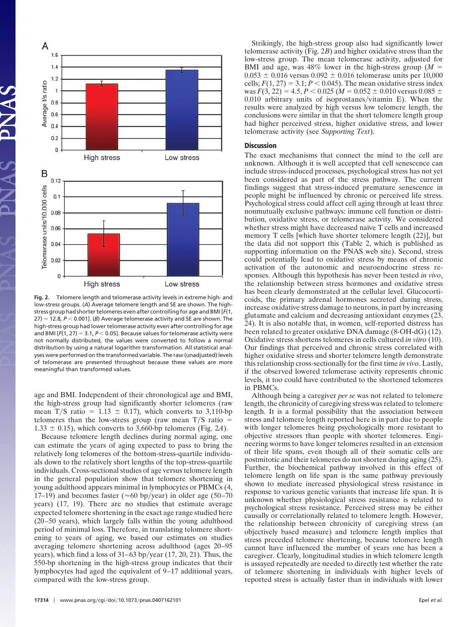

**Fig. 2.** Telomere length and telomerase activity levels in extreme high- and low-stress groups. (*A*) Average telomere length and SE are shown. The highstress group had shorter telomeres even after controlling for age and BMI [*F*(1,  $27$ ) = 12.8,  $P < 0.001$ ]. (*B*) Average telomerase activity and SE are shown. The high-stress group had lower telomerase activity even after controlling for age and BMI  $[F(1, 27) = 3.1, P < 0.05]$ . Because values for telomerase activity were not normally distributed, the values were converted to follow a normal distribution by using a natural logarithm transformation. All statistical analyses were performed on the transformed variable. The raw (unadjusted) levels of telomerase are presented throughout because these values are more meaningful than transformed values.

age and BMI. Independent of their chronological age and BMI, the high-stress group had significantly shorter telomeres (raw mean T/S ratio =  $1.13 \pm 0.17$ ), which converts to 3,110-bp telomeres than the low-stress group (raw mean  $T/S$  ratio =  $1.33 \pm 0.15$ ), which converts to 3,660-bp telomeres (Fig. 2*A*).

Because telomere length declines during normal aging, one can estimate the years of aging expected to pass to bring the relatively long telomeres of the bottom-stress-quartile individuals down to the relatively short lengths of the top-stress-quartile individuals. Cross-sectional studies of age versus telomere length in the general population show that telomere shortening in young adulthood appears minimal in lymphocytes or PBMCs (4, 17–19) and becomes faster ( $\approx 60$  bp/year) in older age (50–70 years) (17, 19). There are no studies that estimate average expected telomere shortening in the exact age range studied here (20–50 years), which largely falls within the young adulthood period of minimal loss. Therefore, in translating telomere shortening to years of aging, we based our estimates on studies averaging telomere shortening across adulthood (ages 20–95 years), which find a loss of  $31-63$  bp/year  $(17, 20, 21)$ . Thus, the 550-bp shortening in the high-stress group indicates that their lymphocytes had aged the equivalent of 9–17 additional years, compared with the low-stress group.

Strikingly, the high-stress group also had significantly lower telomerase activity (Fig. 2*B*) and higher oxidative stress than the low-stress group. The mean telomerase activity, adjusted for BMI and age, was  $48\%$  lower in the high-stress group ( $M =$  $0.053 \pm 0.016$  versus  $0.092 \pm 0.016$  telomerase units per 10,000 cells;  $F(1, 27) = 3.1$ ;  $P \le 0.045$ ). The mean oxidative stress index  $\text{was } F(3, 22) = 4.5, P < 0.025 \ (M = 0.052 \pm 0.010 \text{ versus } 0.085 \pm 0.010 \text{ versus } 0.010 \text{ versus } 0.010 \text{ versus } 0.010 \text{ versus } 0.010 \text{ versus } 0.010 \text{ versus } 0.010 \text{ versus } 0.010 \text{ versus } 0.010 \text{ versus } 0.010 \text{ versus } 0.010 \text{ versus } 0.010 \text{ versus } 0.010 \text{ versus } 0.010 \text{ versus } 0.010$  $0.010$  arbitrary units of isoprostanes/vitamin E). When the results were analyzed by high versus low telomere length, the conclusions were similar in that the short telomere length group had higher perceived stress, higher oxidative stress, and lower telomerase activity (see *Supporting Text*).

## **Discussion**

The exact mechanisms that connect the mind to the cell are unknown. Although it is well accepted that cell senescence can include stress-induced processes, psychological stress has not yet been considered as part of the stress pathway. The current findings suggest that stress-induced premature senescence in people might be influenced by chronic or perceived life stress. Psychological stress could affect cell aging through at least three nonmutually exclusive pathways: immune cell function or distribution, oxidative stress, or telomerase activity. We considered whether stress might have decreased naïve T cells and increased memory T cells [which have shorter telomere length (22)], but the data did not support this (Table 2, which is published as supporting information on the PNAS web site). Second, stress could potentially lead to oxidative stress by means of chronic activation of the autonomic and neuroendocrine stress responses. Although this hypothesis has never been tested *in vivo*, the relationship between stress hormones and oxidative stress has been clearly demonstrated at the cellular level. Glucocorticoids, the primary adrenal hormones secreted during stress, increase oxidative stress damage to neurons, in part by increasing glutamate and calcium and decreasing antioxidant enzymes (23, 24). It is also notable that, in women, self-reported distress has been related to greater oxidative DNA damage (8-OH-dG) (12). Oxidative stress shortens telomeres in cells cultured *in vitro* (10). Our findings that perceived and chronic stress correlated with higher oxidative stress and shorter telomere length demonstrate this relationship cross-sectionally for the first time *in vivo*. Lastly, if the observed lowered telomerase activity represents chronic levels, it too could have contributed to the shortened telomeres in PBMCs.

Although being a caregiver *per se* was not related to telomere length, the chronicity of caregiving stress was related to telomere length. It is a formal possibility that the association between stress and telomere length reported here is in part due to people with longer telomeres being psychologically more resistant to objective stressors than people with shorter telomeres. Engineering worms to have longer telomeres resulted in an extension of their life spans, even though all of their somatic cells are postmitotic and their telomeres do not shorten during aging (25). Further, the biochemical pathway involved in this effect of telomere length on life span is the same pathway previously shown to mediate increased physiological stress resistance in response to various genetic variants that increase life span. It is unknown whether physiological stress resistance is related to psychological stress resistance. Perceived stress may be either causally or correlationally related to telomere length. However, the relationship between chronicity of caregiving stress (an objectively based measure) and telomere length implies that stress preceded telomere shortening, because telomere length cannot have influenced the number of years one has been a caregiver. Clearly, longitudinal studies in which telomere length is assayed repeatedly are needed to directly test whether the rate of telomere shortening in individuals with higher levels of reported stress is actually faster than in individuals with lower